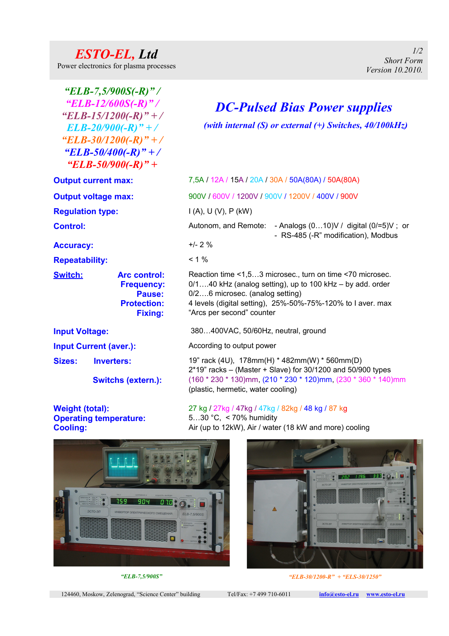*ESTO-EL, Ltd*

Power electronics for plasma processes

*1/2 Short Form Version 10.2010.*

*"ELB-7,5/900S(-R)" / "ELB-12/600S(-R)" / "ELB-15/1200(-R)" + / ELB-20/900(-R)" + / "ELB-30/1200(-R)" + / "ELB-50/400(-R)" + / "ELB-50/900(-R)" +*

**Accuracy:** +/- 2 %

Repeatability:  $\leq 1\%$ 

**Operating temperature:** 5…30 °C, < 70% humidity

*DC-Pulsed Bias Power supplies* 

*(with internal (S) or external (+) Switches, 40/100kHz)*

**Output current max:** 7,5A / 12A / 15A / 20A / 30A / 50A(80A) / 50A(80A) **Output voltage max:** 900V / 600V / 1200V / 900V / 1200V / 400V / 900V **Regulation type:** I (A), U (V), P (kW) **Control:** Autonom, and Remote: - Analogs (0...10)V / digital (0/=5)V; or - RS-485 (-R" modification), Modbus **Switch:** Arc control: Reaction time <1,5...3 microsec., turn on time <70 microsec.  **Frequency:** 0/1….40 kHz (analog setting), up to 100 kHz – by add. order **Pause:** 0/2....6 microsec. (analog setting) **Protection:** 4 levels (digital setting), 25%-50%-75%-120% to I aver. max **Fixing:** "Arcs per second" counter **Input Voltage:** 380…400VAC, 50/60Hz, neutral, ground **Input Current (aver.):** According to output power

**Sizes: Inverters:** 19" rack (4U), 178mm(H) \* 482mm(W) \* 560mm(D) 2\*19" racks – (Master + Slave) for 30/1200 and 50/900 types **Switchs (extern.):** (160 \* 230 \* 130)mm, (210 \* 230 \* 120)mm, (230 \* 360 \* 140)mm (plastic, hermetic, water cooling)

**Weight (total):** 27 kg / 27kg / 47kg / 47kg / 82kg / 48 kg / 87 kg **Cooling:** Air (up to 12kW), Air / water (18 kW and more) cooling





*"ELB-7,5/900S" "ELB-30/1200-R" + "ELS-30/1250"*

124460, Moskow, Zelenograd, "Science Center" building Tel/Fax: +7 499 710-6011 **[info@esto-el.ru](mailto:info@esto-el.ru) [www.esto-el.ru](http://www.esto-el.ru/)**